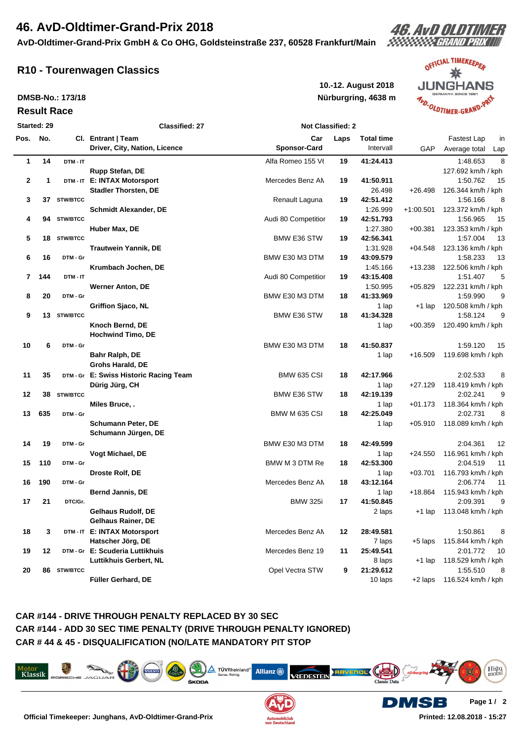# **46. AvD-Oldtimer-Grand-Prix 2018**

## **AvD-Oldtimer-Grand-Prix GmbH & Co OHG, Goldsteinstraße 237, 60528 Frankfurt/Main**

### **R10 - Tourenwagen Classics**

#### **DMSB-No.: 173/18**

### **Result Race**

**Nürburgring, 4638 m 10.-12. August 2018**



46. AVD OLDTIN

| Started: 29 |     |                 | <b>Classified: 27</b>                               | <b>Not Classified: 2</b>   |      |                                |           |                                |
|-------------|-----|-----------------|-----------------------------------------------------|----------------------------|------|--------------------------------|-----------|--------------------------------|
| Pos. No.    |     |                 | Cl. Entrant   Team<br>Driver, City, Nation, Licence | Car<br><b>Sponsor-Card</b> | Laps | <b>Total time</b><br>Intervall | GAP       | Fastest Lap<br>in              |
|             |     |                 |                                                     |                            |      |                                |           | Average total<br>Lap           |
| 1           | 14  | DTM - IT        |                                                     | Alfa Romeo 155 Vf          | 19   | 41:24.413                      |           | 8<br>1:48.653                  |
|             |     |                 | <b>Rupp Stefan, DE</b>                              |                            |      |                                |           | 127.692 km/h / kph             |
| 2           | 1   |                 | DTM-IT E: INTAX Motorsport                          | Mercedes Benz AN           | 19   | 41:50.911                      |           | 1:50.762<br>15                 |
|             |     |                 | <b>Stadler Thorsten, DE</b>                         |                            |      | 26.498                         | $+26.498$ | 126.344 km/h / kph             |
| 3           |     | 37 STW/BTCC     |                                                     | Renault Laguna             | 19   | 42:51.412                      |           | 1:56.166<br>8                  |
|             |     |                 | <b>Schmidt Alexander, DE</b>                        |                            |      | 1:26.999                       | +1:00.501 | 123.372 km/h / kph             |
| 4           | 94  | STW/BTCC        |                                                     | Audi 80 Competition        | 19   | 42:51.793                      |           | 1:56.965<br>15                 |
|             |     |                 | Huber Max, DE                                       |                            |      | 1:27.380                       | $+00.381$ | 123.353 km/h / kph             |
| 5           | 18  | STW/BTCC        |                                                     | <b>BMW E36 STW</b>         | 19   | 42:56.341                      |           | 1:57.004<br>13                 |
|             |     |                 | <b>Trautwein Yannik, DE</b>                         |                            |      | 1:31.928                       | $+04.548$ | 123.136 km/h / kph             |
| 6           | 16  | DTM - Gr        |                                                     | BMW E30 M3 DTM             | 19   | 43:09.579                      |           | 1:58.233<br>13                 |
|             |     |                 | Krumbach Jochen, DE                                 |                            |      | 1:45.166                       | $+13.238$ | 122.506 km/h / kph             |
| 7           | 144 | DTM - IT        |                                                     | Audi 80 Competition        | 19   | 43:15.408                      |           | 1:51.407<br>5                  |
|             |     |                 | Werner Anton, DE                                    |                            |      | 1:50.995                       | $+05.829$ | 122.231 km/h / kph             |
| 8           | 20  | DTM - Gr        |                                                     | BMW E30 M3 DTM             | 18   | 41:33.969                      |           | 1:59.990<br>9                  |
|             |     |                 | <b>Griffion Sjaco, NL</b>                           |                            |      | 1 lap                          | $+1$ lap  | 120.508 km/h / kph             |
| 9           | 13  | <b>STW/BTCC</b> |                                                     | <b>BMW E36 STW</b>         | 18   | 41:34.328                      |           | 1:58.124<br>9                  |
|             |     |                 | Knoch Bernd, DE                                     |                            |      | 1 lap                          | $+00.359$ | 120.490 km/h / kph             |
|             |     |                 | <b>Hochwind Timo, DE</b>                            |                            |      |                                |           |                                |
| 10          | 6   | DTM - Gr        |                                                     | BMW E30 M3 DTM             | 18   | 41:50.837                      |           | 1:59.120<br>15                 |
|             |     |                 | Bahr Ralph, DE                                      |                            |      | 1 lap                          | $+16.509$ | 119.698 km/h / kph             |
|             |     |                 | Grohs Harald, DE                                    |                            |      |                                |           |                                |
| 11          | 35  |                 | DTM - Gr E: Swiss Historic Racing Team              | <b>BMW 635 CSI</b>         | 18   | 42:17.966                      |           | 2:02.533<br>8                  |
|             |     |                 | Dürig Jürg, CH                                      |                            |      | 1 lap                          | $+27.129$ | 118.419 km/h / kph             |
| 12          | 38  | STW/BTCC        |                                                     | <b>BMW E36 STW</b>         | 18   | 42:19.139                      |           | 2:02.241<br>9                  |
|             |     |                 | Miles Bruce, .                                      |                            |      | 1 lap                          | $+01.173$ | 118.364 km/h / kph             |
| 13          | 635 | DTM - Gr        |                                                     | BMW M 635 CSI              | 18   | 42:25.049                      |           | 2:02.731<br>8                  |
|             |     |                 | <b>Schumann Peter, DE</b>                           |                            |      | 1 lap                          |           | +05.910 118.089 km/h / kph     |
|             |     |                 | Schumann Jürgen, DE                                 |                            |      |                                |           |                                |
| 14          | 19  | DTM - Gr        |                                                     | BMW E30 M3 DTM             | 18   | 42:49.599                      |           | 12<br>2:04.361                 |
|             |     |                 | Vogt Michael, DE                                    |                            |      | 1 lap                          | $+24.550$ | 116.961 km/h / kph             |
| 15          | 110 | DTM - Gr        |                                                     | BMW M 3 DTM Re             | 18   | 42:53.300                      |           | 2:04.519<br>11                 |
|             |     |                 | Droste Rolf, DE                                     |                            |      | 1 lap                          | $+03.701$ | 116.793 km/h / kph             |
| 16          | 190 | DTM - Gr        |                                                     | Mercedes Benz AN           | 18   | 43:12.164                      |           | 2:06.774<br>11                 |
|             |     |                 | <b>Bernd Jannis, DE</b>                             |                            |      | 1 lap                          | $+18.864$ | 115.943 km/h / kph             |
| 17          | 21  | DTC/Gr.         |                                                     | <b>BMW 325i</b>            | 17   | 41:50.845                      |           | 2:09.391<br>9                  |
|             |     |                 | Gelhaus Rudolf, DE                                  |                            |      | 2 laps                         | +1 lap    | 113.048 km/h / kph             |
|             |     |                 | <b>Gelhaus Rainer, DE</b>                           |                            |      |                                |           |                                |
|             |     |                 |                                                     |                            |      |                                |           |                                |
| 18          | 3   |                 | DTM-IT E: INTAX Motorsport                          | Mercedes Benz AN           | 12   | 28:49.581                      |           | 1:50.861<br>8                  |
|             |     |                 | Hatscher Jörg, DE                                   | Mercedes Benz 19           |      | 7 laps                         | $+5$ laps | 115.844 km/h / kph<br>2:01.772 |
| 19          | 12  |                 | DTM-Gr E: Scuderia Luttikhuis                       |                            | 11   | 25:49.541                      |           | 10                             |
|             |     |                 | Luttikhuis Gerbert, NL                              |                            |      | 8 laps                         | $+1$ lap  | 118.529 km/h / kph             |
| 20          | 86  | <b>STW/BTCC</b> |                                                     | Opel Vectra STW            | 9    | 21:29.612                      |           | 1:55.510<br>8                  |
|             |     |                 | Füller Gerhard, DE                                  |                            |      | 10 laps                        | $+2$ laps | 116.524 km/h / kph             |

### **CAR #144 - DRIVE THROUGH PENALTY REPLACED BY 30 SEC CAR #144 - ADD 30 SEC TIME PENALTY (DRIVE THROUGH PENALTY IGNORED) CAR # 44 & 45 - DISQUALIFICATION (NO/LATE MANDATORY PIT STOP**